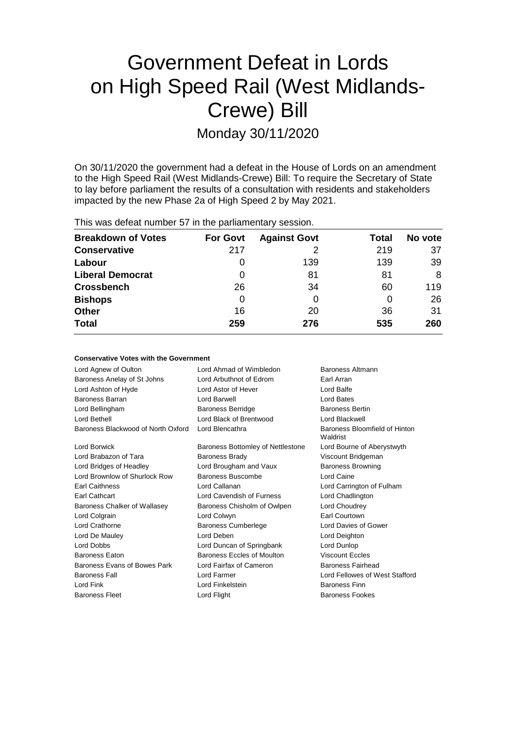# Government Defeat in Lords on High Speed Rail (West Midlands-Crewe) Bill

Monday 30/11/2020

On 30/11/2020 the government had a defeat in the House of Lords on an amendment to the High Speed Rail (West Midlands-Crewe) Bill: To require the Secretary of State to lay before parliament the results of a consultation with residents and stakeholders impacted by the new Phase 2a of High Speed 2 by May 2021.

This was defeat number 57 in the parliamentary session.

| <b>Breakdown of Votes</b> | <b>For Govt</b> | <b>Against Govt</b> | Total | No vote |
|---------------------------|-----------------|---------------------|-------|---------|
| <b>Conservative</b>       | 217             | 2                   | 219   | 37      |
| Labour                    | O               | 139                 | 139   | 39      |
| <b>Liberal Democrat</b>   | 0               | 81                  | 81    | 8       |
| <b>Crossbench</b>         | 26              | 34                  | 60    | 119     |
| <b>Bishops</b>            | 0               |                     | 0     | 26      |
| <b>Other</b>              | 16              | 20                  | 36    | 31      |
| <b>Total</b>              | 259             | 276                 | 535   | 260     |

#### **Conservative Votes with the Government**

| Lord Agnew of Oulton               | Lord Ahmad of Wimbledon           | Baroness Altmann                          |
|------------------------------------|-----------------------------------|-------------------------------------------|
| Baroness Anelay of St Johns        | Lord Arbuthnot of Edrom           | Earl Arran                                |
| Lord Ashton of Hyde                | Lord Astor of Hever               | Lord Balfe                                |
| Baroness Barran                    | Lord Barwell                      | Lord Bates                                |
| Lord Bellingham                    | <b>Baroness Berridge</b>          | <b>Baroness Bertin</b>                    |
| Lord Bethell                       | Lord Black of Brentwood           | Lord Blackwell                            |
| Baroness Blackwood of North Oxford | Lord Blencathra                   | Baroness Bloomfield of Hinton<br>Waldrist |
| Lord Borwick                       | Baroness Bottomley of Nettlestone | Lord Bourne of Aberystwyth                |
| Lord Brabazon of Tara              | <b>Baroness Brady</b>             | Viscount Bridgeman                        |
| Lord Bridges of Headley            | Lord Brougham and Vaux            | <b>Baroness Browning</b>                  |
| Lord Brownlow of Shurlock Row      | Baroness Buscombe                 | Lord Caine                                |
| <b>Earl Caithness</b>              | Lord Callanan                     | Lord Carrington of Fulham                 |
| <b>Earl Cathcart</b>               | Lord Cavendish of Furness         | Lord Chadlington                          |
| Baroness Chalker of Wallasey       | Baroness Chisholm of Owlpen       | Lord Choudrey                             |
| Lord Colgrain                      | Lord Colwyn                       | Earl Courtown                             |
| Lord Crathorne                     | <b>Baroness Cumberlege</b>        | Lord Davies of Gower                      |
| Lord De Mauley                     | Lord Deben                        | Lord Deighton                             |
| Lord Dobbs                         | Lord Duncan of Springbank         | Lord Dunlop                               |
| <b>Baroness Eaton</b>              | Baroness Eccles of Moulton        | <b>Viscount Eccles</b>                    |
| Baroness Evans of Bowes Park       | Lord Fairfax of Cameron           | Baroness Fairhead                         |
| <b>Baroness Fall</b>               | Lord Farmer                       | Lord Fellowes of West Stafford            |
| Lord Fink                          | Lord Finkelstein                  | Baroness Finn                             |
| <b>Baroness Fleet</b>              | Lord Flight                       | <b>Baroness Fookes</b>                    |
|                                    |                                   |                                           |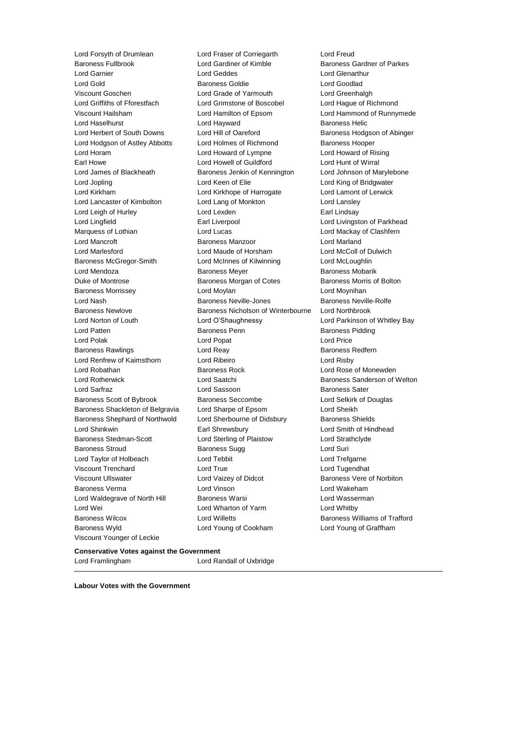Lord Forsyth of Drumlean Lord Fraser of Corriegarth Lord Freud Viscount Younger of Leckie

Baroness Fullbrook Lord Gardiner of Kimble Baroness Gardner of Parkes Lord Garnier Lord Geddes Lord Glenarthur Lord Gold Baroness Goldie Lord Goodlad Viscount Goschen Lord Grade of Yarmouth Lord Greenhalgh Lord Griffiths of Fforestfach Lord Grimstone of Boscobel Lord Hague of Richmond Viscount Hailsham Lord Hamilton of Epsom Lord Hammond of Runnymede Lord Haselhurst **Lord Hayward** Baroness Helic Lord Herbert of South Downs Lord Hill of Oareford Baroness Hodgson of Abinger Lord Hodgson of Astley Abbotts Lord Holmes of Richmond Baroness Hooper Lord Horam Lord Howard of Lympne Lord Howard of Rising Earl Howe Lord Howell of Guildford Lord Hunt of Wirral Lord James of Blackheath Baroness Jenkin of Kennington Lord Johnson of Marylebone Lord Jopling **Lord Communist Lord Keen of Elie** Lord King of Bridgwater Lord Kirkham Lord Kirkhope of Harrogate Lord Lamont of Lerwick Lord Lancaster of Kimbolton Lord Lang of Monkton Lord Lansley Lord Leigh of Hurley **Lord Lexden** Earl Lindsay Lord Lingfield **Earl Liverpool** Earl Liverpool **Lord Livingston of Parkhead** Marquess of Lothian Lord Lucas Lord Mackay of Clashfern Lord Mancroft Baroness Manzoor Lord Marland Lord Marlesford Lord Maude of Horsham Lord McColl of Dulwich Baroness McGregor-Smith Lord McInnes of Kilwinning Lord McLoughlin Lord Mendoza **Baroness Meyer** Baroness Meyer Baroness Mobarik Duke of Montrose Baroness Morgan of Cotes Baroness Morris of Bolton Baroness Morrissey Lord Moylan Lord Moynihan Lord Nash Baroness Neville-Jones Baroness Neville-Rolfe Baroness Newlove Baroness Nicholson of Winterbourne Lord Northbrook Lord Norton of Louth Lord O'Shaughnessy Lord Parkinson of Whitley Bay Lord Patten **Baroness Penn** Baroness Penn Baroness Pidding Lord Polak **Lord Popat Lord Popat Lord Price** Baroness Rawlings **Reage Exercise Section** Lord Reay **Baroness Redfern** Lord Renfrew of Kaimsthorn Lord Ribeiro Lord Risby Lord Robathan **Baroness Rock** Lord Rose of Monewden Lord Rotherwick **Lord Saatchi** Baroness Sanderson of Welton Lord Sarfraz Lord Sassoon Baroness Sater Baroness Scott of Bybrook Baroness Seccombe Lord Selkirk of Douglas Baroness Shackleton of Belgravia Lord Sharpe of Epsom Lord Sheikh Baroness Shephard of Northwold Lord Sherbourne of Didsbury Baroness Shields Lord Shinkwin Earl Shrewsbury Lord Smith of Hindhead Baroness Stedman-Scott Lord Sterling of Plaistow Lord Strathclyde Baroness Stroud Baroness Sugg Lord Suri Lord Taylor of Holbeach **Lord Tebbit** Lord Trefgarne Viscount Trenchard Lord True Lord Tugendhat Viscount Ullswater **Lord Vaizey of Didcot** Baroness Vere of Norbiton Baroness Verma Lord Vinson Lord Wakeham Lord Waldegrave of North Hill Baroness Warsi North Hill Baroness Warsi Lord Wasserman Lord Wei **Lord Wharton of Yarm** Cord Whatby Lord Whitby Baroness Wilcox Lord Willetts Baroness Williams of Trafford Baroness Wyld Lord Young of Cookham Lord Young of Graffham

#### **Conservative Votes against the Government**

Lord Framlingham Lord Randall of Uxbridge

**Labour Votes with the Government**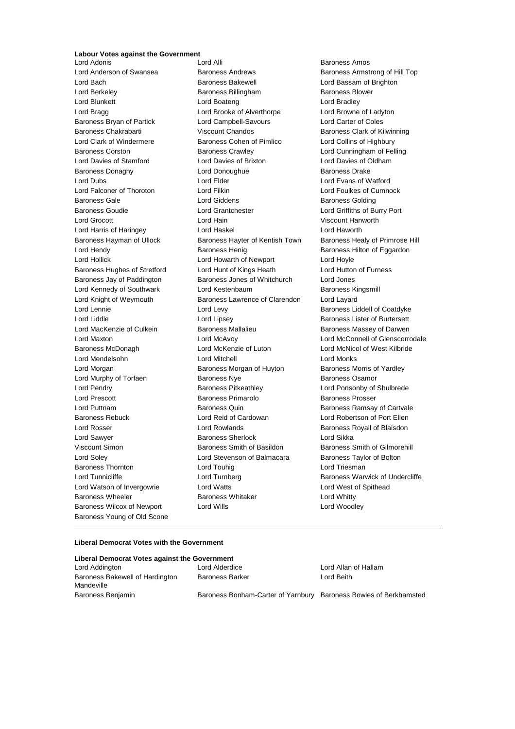## **Labour Votes against the Government**<br>Lord Adonis

Lord Anderson of Swansea Baroness Andrews Baroness Armstrong of Hill Top Lord Bach Baroness Bakewell Lord Bassam of Brighton Lord Berkeley **Baroness Billingham** Baroness Blower Lord Blunkett **Lord Boateng** Lord Bradley **Lord Bradley** Lord Bragg **Lord Brooke of Alverthorpe** Lord Browne of Ladyton Baroness Bryan of Partick Lord Campbell-Savours Lord Carter of Coles Baroness Chakrabarti Viscount Chandos Baroness Clark of Kilwinning Lord Clark of Windermere Baroness Cohen of Pimlico Lord Collins of Highbury Baroness Corston Baroness Crawley Lord Cunningham of Felling Lord Davies of Stamford Lord Davies of Brixton Lord Davies of Oldham Baroness Donaghy **Baroness Drake** Lord Donoughue **Baroness Drake** Lord Dubs Lord Elder Lord Evans of Watford Lord Falconer of Thoroton Lord Filkin Lord Foulkes of Cumnock Baroness Gale **Baroness Golding** Lord Giddens **Baroness Golding** Baroness Goudie Lord Grantchester Lord Griffiths of Burry Port Lord Grocott Lord Hain Viscount Hanworth Lord Harris of Haringey Lord Haskel Lord Haworth Lord Hendy **Baroness Henig** Baroness Henig Baroness Hilton of Eggardon Lord Hollick Lord Howarth of Newport Lord Hoyle Baroness Hughes of Stretford Lord Hunt of Kings Heath Lord Hutton of Furness Baroness Jay of Paddington Baroness Jones of Whitchurch Lord Jones Lord Kennedy of Southwark Lord Kestenbaum Baroness Kingsmill Lord Knight of Weymouth Baroness Lawrence of Clarendon Lord Layard Lord Lennie **Lord Levy** Lord Levy **Baroness Liddell of Coatdyke** Lord Liddle Lord Lipsey Baroness Lister of Burtersett Lord MacKenzie of Culkein **Baroness Mallalieu** Baroness Manuel Baroness Massey of Darwen Baroness McDonagh Lord McKenzie of Luton Lord McNicol of West Kilbride Lord Mendelsohn Lord Mitchell Lord Monks Lord Morgan Baroness Morgan of Huyton Baroness Morris of Yardley Lord Murphy of Torfaen **Baroness Nye** Baroness Osamor Lord Pendry Baroness Pitkeathley Lord Ponsonby of Shulbrede Lord Prescott Baroness Primarolo Baroness Prosser Lord Puttnam Baroness Quin Baroness Ramsay of Cartvale Baroness Rebuck Lord Reid of Cardowan Lord Robertson of Port Ellen Lord Rosser Lord Rowlands Baroness Royall of Blaisdon Lord Sawyer **Baroness Sherlock** Lord Sikka Viscount Simon Baroness Smith of Basildon Baroness Smith of Gilmorehill Lord Soley **Lord Stevenson of Balmacara** Baroness Taylor of Bolton Baroness Thornton **Lord Touhig** Lord Touhig Lord Triesman Lord Watson of Invergowrie Lord Watts Lord West of Spithead Baroness Wheeler **Baroness Whitaker** Lord Whitty Baroness Wilcox of Newport Lord Wills Lord Woodley Baroness Young of Old Scone

Baroness Amos Baroness Hayman of Ullock Baroness Hayter of Kentish Town Baroness Healy of Primrose Hill Lord Maxton Lord McAvoy Lord McConnell of Glenscorrodale Lord Tunnicliffe **Lord Turnberg** Lord Turnberg **Baroness Warwick of Undercliffe** 

#### **Liberal Democrat Votes with the Government**

| Liberal Democrat Votes against the Government |                                                                   |                      |  |  |  |
|-----------------------------------------------|-------------------------------------------------------------------|----------------------|--|--|--|
| Lord Addington                                | Lord Alderdice                                                    | Lord Allan of Hallam |  |  |  |
| Baroness Bakewell of Hardington<br>Mandeville | <b>Baroness Barker</b>                                            | Lord Beith           |  |  |  |
| Baroness Benjamin                             | Baroness Bonham-Carter of Yarnbury Baroness Bowles of Berkhamsted |                      |  |  |  |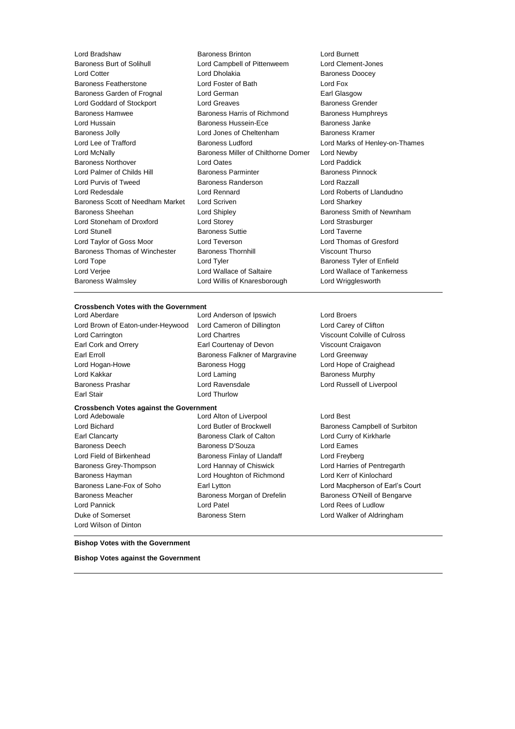| Lord Bradshaw                    | <b>Baroness Brinton</b>             | Lord Burnett         |
|----------------------------------|-------------------------------------|----------------------|
| <b>Baroness Burt of Solihull</b> | Lord Campbell of Pittenweem         | <b>Lord Clement</b>  |
| <b>Lord Cotter</b>               | Lord Dholakia                       | <b>Baroness Doo</b>  |
| Baroness Featherstone            | Lord Foster of Bath                 | Lord Fox             |
| Baroness Garden of Frognal       | Lord German                         | Earl Glasgow         |
| Lord Goddard of Stockport        | <b>Lord Greaves</b>                 | <b>Baroness Gre</b>  |
| <b>Baroness Hamwee</b>           | Baroness Harris of Richmond         | <b>Baroness Hur</b>  |
| Lord Hussain                     | Baroness Hussein-Ece                | Baroness Jan         |
| <b>Baroness Jolly</b>            | Lord Jones of Cheltenham            | <b>Baroness Kra</b>  |
| Lord Lee of Trafford             | Baroness Ludford                    | Lord Marks of        |
| Lord McNally                     | Baroness Miller of Chilthorne Domer | Lord Newby           |
| <b>Baroness Northover</b>        | <b>Lord Oates</b>                   | Lord Paddick         |
| Lord Palmer of Childs Hill       | <b>Baroness Parminter</b>           | <b>Baroness Pin</b>  |
| Lord Purvis of Tweed             | <b>Baroness Randerson</b>           | Lord Razzall         |
| Lord Redesdale                   | Lord Rennard                        | Lord Roberts         |
| Baroness Scott of Needham Market | Lord Scriven                        | Lord Sharkey         |
| Baroness Sheehan                 | Lord Shipley                        | <b>Baroness Sm</b>   |
| Lord Stoneham of Droxford        | Lord Storey                         | Lord Strasbur        |
| Lord Stunell                     | <b>Baroness Suttie</b>              | Lord Taverne         |
| Lord Taylor of Goss Moor         | Lord Teverson                       | Lord Thomas          |
| Baroness Thomas of Winchester    | <b>Baroness Thornhill</b>           | <b>Viscount Thur</b> |
| Lord Tope                        | Lord Tyler                          | <b>Baroness Tyle</b> |
| Lord Verjee                      | Lord Wallace of Saltaire            | Lord Wallace         |
| <b>Baroness Walmsley</b>         | Lord Willis of Knaresborough        | Lord Wriggles        |
|                                  |                                     |                      |

Lord Clement-Jones **Baroness Doocey** Earl Glasgow Baroness Grender Baroness Humphreys Baroness Janke Baroness Kramer Lord Marks of Henley-on-Thames Lord Newby Lord Paddick Baroness Pinnock Lord Razzall Lord Roberts of Llandudno Lord Sharkey Baroness Smith of Newnham Lord Strasburger Lord Thomas of Gresford Viscount Thurso Baroness Tyler of Enfield Lord Wallace of Tankerness Lord Wrigglesworth

#### **Crossbench Votes with the Government**

**Crossbench Votes against the Government** Lord Aberdare Lord Anderson of Ipswich Lord Broers Lord Brown of Eaton-under-Heywood Lord Cameron of Dillington Lord Carey of Clifton Lord Carrington Lord Chartres Viscount Colville of Culross Earl Cork and Orrery Earl Courtenay of Devon Viscount Craigavon Earl Erroll **Example 20 Example 20 Earl Erroll** Baroness Falkner of Margravine Lord Greenway Lord Hogan-Howe **Baroness Hogg Lord Hope of Craighead** Lord Hope of Craighead Lord Kakkar **Lord Laming** Lord Laming **Baroness Murphy** Baroness Prashar Lord Ravensdale Lord Russell of Liverpool Earl Stair **Lord Thurlow** 

Earl Clancarty Baroness Clark of Calton Lord Curry of Kirkharle Baroness Deech Baroness D'Souza Lord Eames Lord Field of Birkenhead **Baroness Finlay of Llandaff** Lord Freyberg Baroness Grey-Thompson Lord Hannay of Chiswick Lord Harries of Pentregarth Baroness Hayman Lord Houghton of Richmond Lord Kerr of Kinlochard Lord Pannick Lord Patel Lord Rees of Ludlow Duke of Somerset Baroness Stern Lord Walker of Aldringham Lord Wilson of Dinton

Lord Alton of Liverpool Lord Best

Lord Bichard **Lord Butler of Brockwell** Baroness Campbell of Surbiton Baroness Lane-Fox of Soho Earl Lytton Lord Macpherson of Earl's Court Baroness Meacher **Baroness Morgan of Drefelin** Baroness O'Neill of Bengarve

**Bishop Votes with the Government**

**Bishop Votes against the Government**